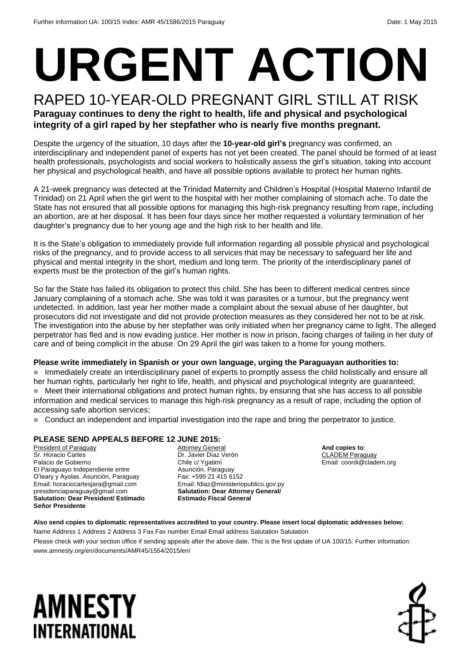# **URGENT ACTION**

### RAPED 10-YEAR-OLD PREGNANT GIRL STILL AT RISK **Paraguay continues to deny the right to health, life and physical and psychological integrity of a girl raped by her stepfather who is nearly five months pregnant.**

Despite the urgency of the situation, 10 days after the **10-year-old girl's** pregnancy was confirmed, an interdisciplinary and independent panel of experts has not yet been created. The panel should be formed of at least health professionals, psychologists and social workers to holistically assess the girl's situation, taking into account her physical and psychological health, and have all possible options available to protect her human rights.

A 21-week pregnancy was detected at the Trinidad Maternity and Children's Hospital (Hospital Materno Infantil de Trinidad) on 21 April when the girl went to the hospital with her mother complaining of stomach ache. To date the State has not ensured that all possible options for managing this high-risk pregnancy resulting from rape, including an abortion, are at her disposal. It has been four days since her mother requested a voluntary termination of her daughter's pregnancy due to her young age and the high risk to her health and life.

It is the State's obligation to immediately provide full information regarding all possible physical and psychological risks of the pregnancy, and to provide access to all services that may be necessary to safeguard her life and physical and mental integrity in the short, medium and long term. The priority of the interdisciplinary panel of experts must be the protection of the girl's human rights.

So far the State has failed its obligation to protect this child. She has been to different medical centres since January complaining of a stomach ache. She was told it was parasites or a tumour, but the pregnancy went undetected. In addition, last year her mother made a complaint about the sexual abuse of her daughter, but prosecutors did not investigate and did not provide protection measures as they considered her not to be at risk. The investigation into the abuse by her stepfather was only initiated when her pregnancy came to light. The alleged perpetrator has fled and is now evading justice. Her mother is now in prison, facing charges of failing in her duty of care and of being complicit in the abuse. On 29 April the girl was taken to a home for young mothers.

#### **Please write immediately in Spanish or your own language, urging the Paraguayan authorities to:**

 Immediately create an interdisciplinary panel of experts to promptly assess the child holistically and ensure all her human rights, particularly her right to life, health, and physical and psychological integrity are guaranteed; ■ Meet their international obligations and protect human rights, by ensuring that she has access to all possible information and medical services to manage this high-risk pregnancy as a result of rape, including the option of accessing safe abortion services;

Conduct an independent and impartial investigation into the rape and bring the perpetrator to justice.

#### **PLEASE SEND APPEALS BEFORE 12 JUNE 2015:**

President of Paraguay Sr. Horacio Cartes Palacio de Gobierno El Paraguayo Independiente entre O'leary y Ayolas. Asunción, Paraguay Email: horaciocartesjara@gmail.com presidenciaparaguay@gmail.com **Salutation: Dear President/ Estimado Señor Presidente**

**Attorney General** Dr. Javier Díaz Verón Chile c/ Ygatimí Asunción, Paraguay Fax: +595 21 415 6152 Email: fdiaz@ministeriopublico.gov.py **Salutation: Dear Attorney General/ Estimado Fiscal General**

**And copies to**: CLADEM Paraguay Email: coordi@cladem.org

#### **Also send copies to diplomatic representatives accredited to your country. Please insert local diplomatic addresses below:**

Name Address 1 Address 2 Address 3 Fax Fax number Email Email address Salutation Salutation Please check with your section office if sending appeals after the above date. This is the first update of UA 100/15. Further information: www.amnesty.org/en/documents/AMR45/1554/2015/en/